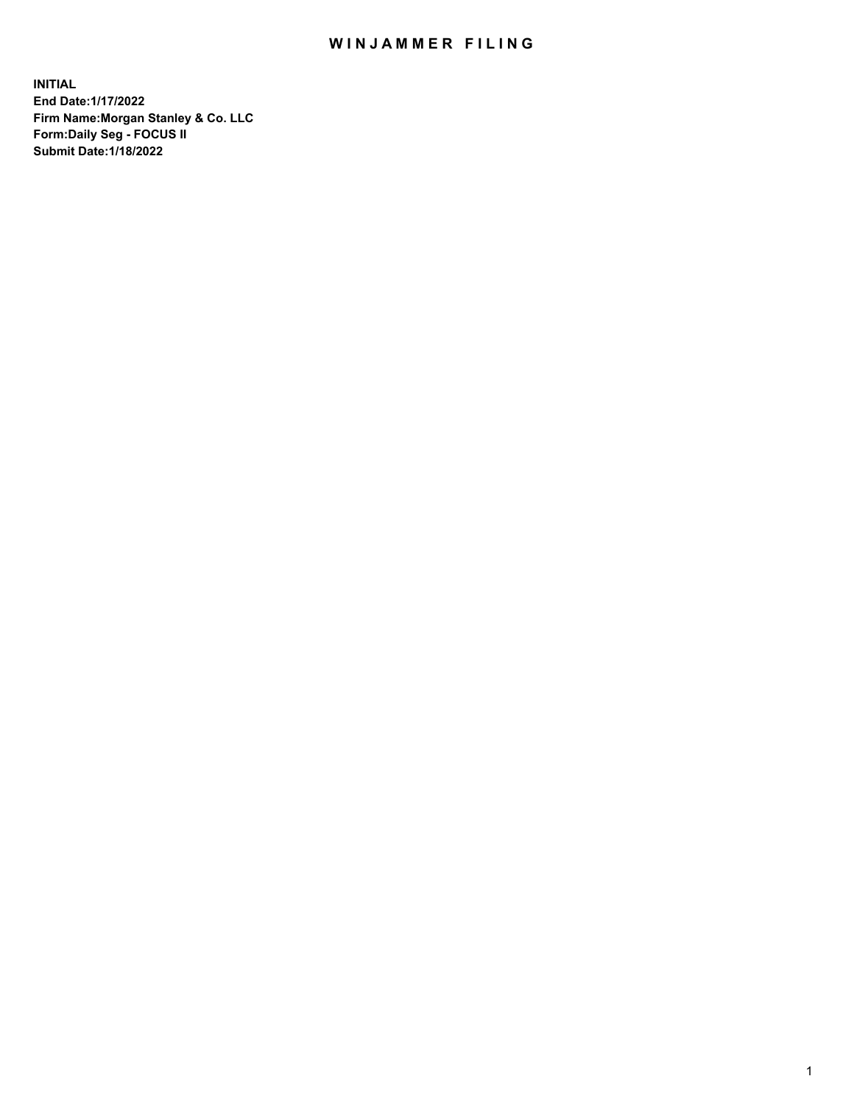## WIN JAMMER FILING

**INITIAL End Date:1/17/2022 Firm Name:Morgan Stanley & Co. LLC Form:Daily Seg - FOCUS II Submit Date:1/18/2022**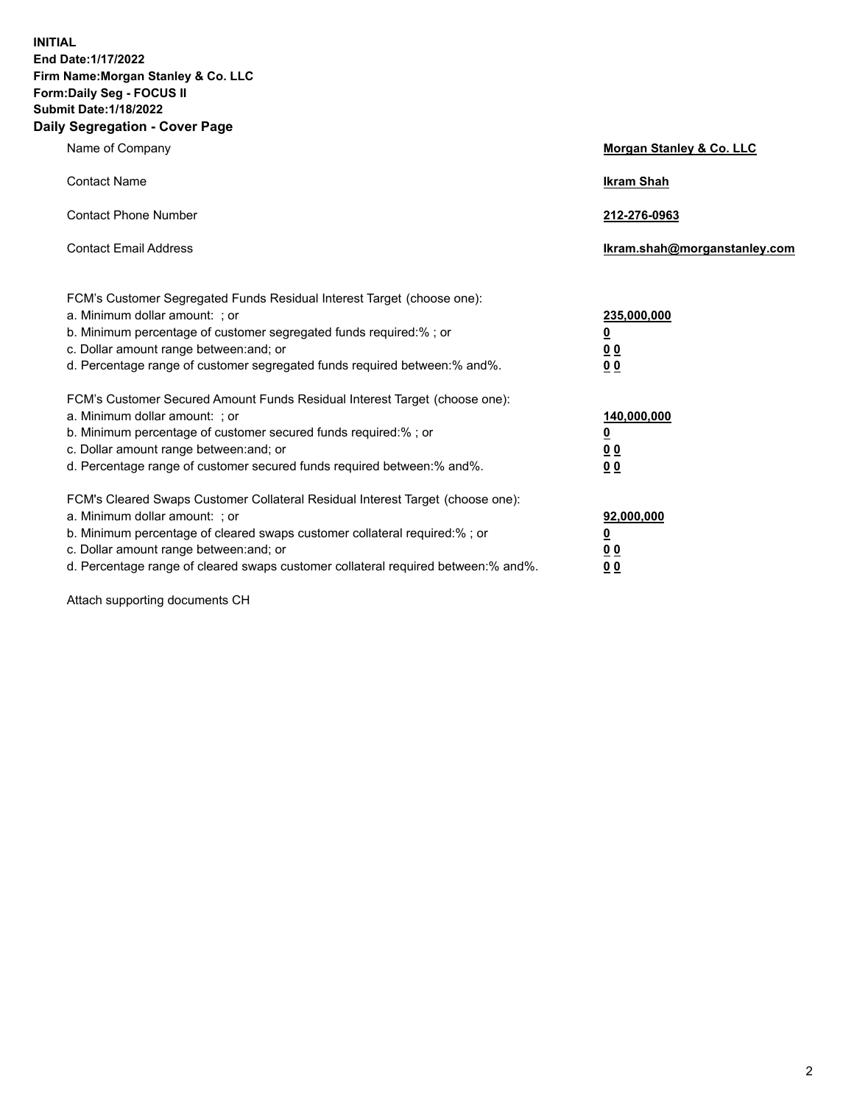**INITIAL End Date:1/17/2022 Firm Name:Morgan Stanley & Co. LLC Form:Daily Seg - FOCUS II Submit Date:1/18/2022 Daily Segregation - Cover Page**

| Name of Company                                                                                                                                                                                                                                                                                                                | Morgan Stanley & Co. LLC                                    |
|--------------------------------------------------------------------------------------------------------------------------------------------------------------------------------------------------------------------------------------------------------------------------------------------------------------------------------|-------------------------------------------------------------|
| <b>Contact Name</b>                                                                                                                                                                                                                                                                                                            | <b>Ikram Shah</b>                                           |
| <b>Contact Phone Number</b>                                                                                                                                                                                                                                                                                                    | 212-276-0963                                                |
| <b>Contact Email Address</b>                                                                                                                                                                                                                                                                                                   | lkram.shah@morganstanley.com                                |
| FCM's Customer Segregated Funds Residual Interest Target (choose one):<br>a. Minimum dollar amount: ; or<br>b. Minimum percentage of customer segregated funds required:% ; or<br>c. Dollar amount range between: and; or<br>d. Percentage range of customer segregated funds required between:% and%.                         | 235,000,000<br><u>0</u><br><u>00</u><br>00                  |
| FCM's Customer Secured Amount Funds Residual Interest Target (choose one):<br>a. Minimum dollar amount: ; or<br>b. Minimum percentage of customer secured funds required:%; or<br>c. Dollar amount range between: and; or<br>d. Percentage range of customer secured funds required between: % and %.                          | 140,000,000<br><u>0</u><br>0 <sub>0</sub><br>0 <sub>0</sub> |
| FCM's Cleared Swaps Customer Collateral Residual Interest Target (choose one):<br>a. Minimum dollar amount: ; or<br>b. Minimum percentage of cleared swaps customer collateral required:% ; or<br>c. Dollar amount range between: and; or<br>d. Percentage range of cleared swaps customer collateral required between:% and%. | 92,000,000<br><u>0</u><br><u>00</u><br>0 <sub>0</sub>       |

Attach supporting documents CH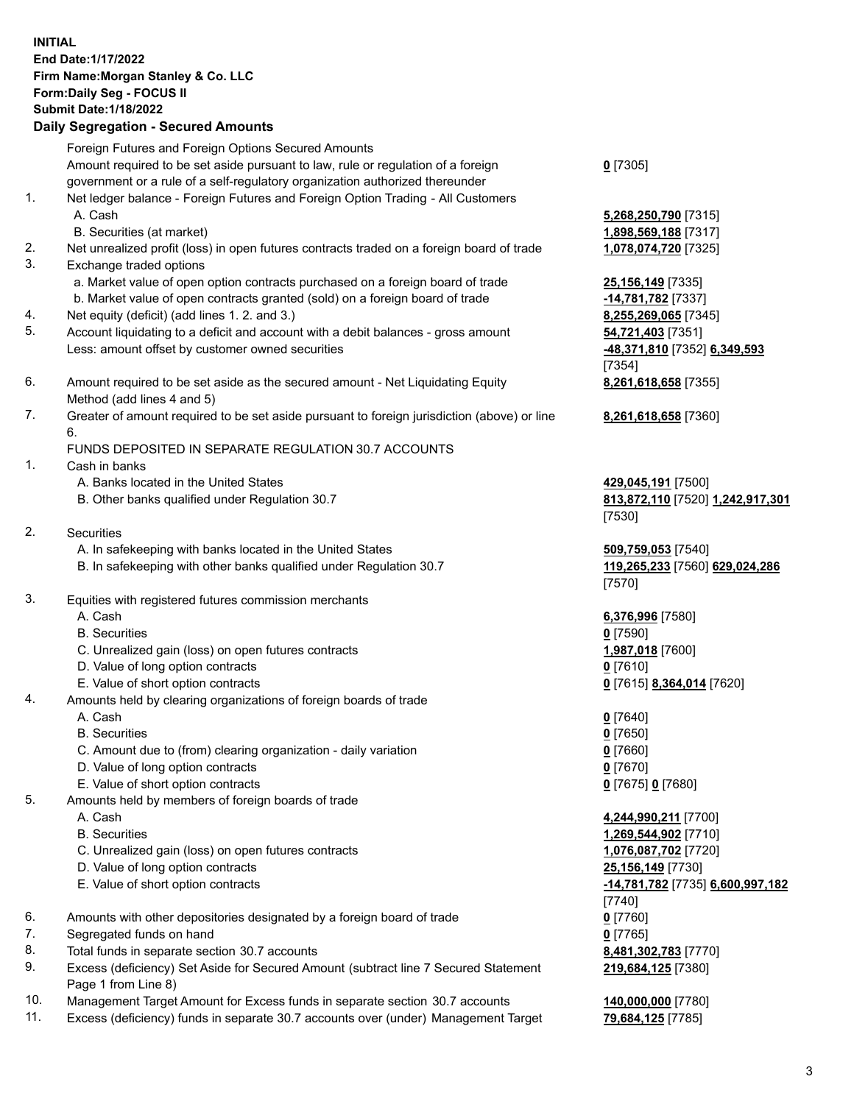## **INITIAL End Date:1/17/2022 Firm Name:Morgan Stanley & Co. LLC Form:Daily Seg - FOCUS II Submit Date:1/18/2022 Daily Segregation - Secured Amounts** Foreign Futures and Foreign Options Secured Amounts Amount required to be set aside pursuant to law, rule or regulation of a foreign government or a rule of a self-regulatory organization authorized thereunder 1. Net ledger balance - Foreign Futures and Foreign Option Trading - All Customers A. Cash **5,268,250,790** [7315] B. Securities (at market) **1,898,569,188** [7317] 2. Net unrealized profit (loss) in open futures contracts traded on a foreign board of trade **1,078,074,720** [7325] 3. Exchange traded options a. Market value of open option contracts purchased on a foreign board of trade **25,156,149** [7335] b. Market value of open contracts granted (sold) on a foreign board of trade **-14,781,782** [7337] 4. Net equity (deficit) (add lines 1. 2. and 3.) **8,255,269,065** [7345] 5. Account liquidating to a deficit and account with a debit balances - gross amount **54,721,403** [7351] Less: amount offset by customer owned securities **-48,371,810** [7352] **6,349,593** 6. Amount required to be set aside as the secured amount - Net Liquidating Equity Method (add lines 4 and 5) 7. Greater of amount required to be set aside pursuant to foreign jurisdiction (above) or line 6. FUNDS DEPOSITED IN SEPARATE REGULATION 30.7 ACCOUNTS 1. Cash in banks

- A. Banks located in the United States **429,045,191** [7500]
- B. Other banks qualified under Regulation 30.7 **813,872,110** [7520] **1,242,917,301**
- 2. Securities
	- A. In safekeeping with banks located in the United States **509,759,053** [7540]
	- B. In safekeeping with other banks qualified under Regulation 30.7 **119,265,233** [7560] **629,024,286**
- 3. Equities with registered futures commission merchants
	-
	- B. Securities **0** [7590]
	- C. Unrealized gain (loss) on open futures contracts **1,987,018** [7600]
	- D. Value of long option contracts **0** [7610]
	- E. Value of short option contracts **0** [7615] **8,364,014** [7620]
- 4. Amounts held by clearing organizations of foreign boards of trade
	- A. Cash **0** [7640]
	- B. Securities **0** [7650]
	- C. Amount due to (from) clearing organization daily variation **0** [7660]
	- D. Value of long option contracts **0** [7670]
	- E. Value of short option contracts **0** [7675] **0** [7680]
- 5. Amounts held by members of foreign boards of trade
	-
	-
	- C. Unrealized gain (loss) on open futures contracts **1,076,087,702** [7720]
	- D. Value of long option contracts **25,156,149** [7730]
	-
- 6. Amounts with other depositories designated by a foreign board of trade **0** [7760]
- 7. Segregated funds on hand **0** [7765]
- 8. Total funds in separate section 30.7 accounts **8,481,302,783** [7770]
- 9. Excess (deficiency) Set Aside for Secured Amount (subtract line 7 Secured Statement Page 1 from Line 8)
- 10. Management Target Amount for Excess funds in separate section 30.7 accounts **140,000,000** [7780]
- 11. Excess (deficiency) funds in separate 30.7 accounts over (under) Management Target **79,684,125** [7785]

**0** [7305]

[7354] **8,261,618,658** [7355]

**8,261,618,658** [7360]

[7530]

[7570]

A. Cash **6,376,996** [7580]

 A. Cash **4,244,990,211** [7700] B. Securities **1,269,544,902** [7710] E. Value of short option contracts **-14,781,782** [7735] **6,600,997,182** [7740] **219,684,125** [7380]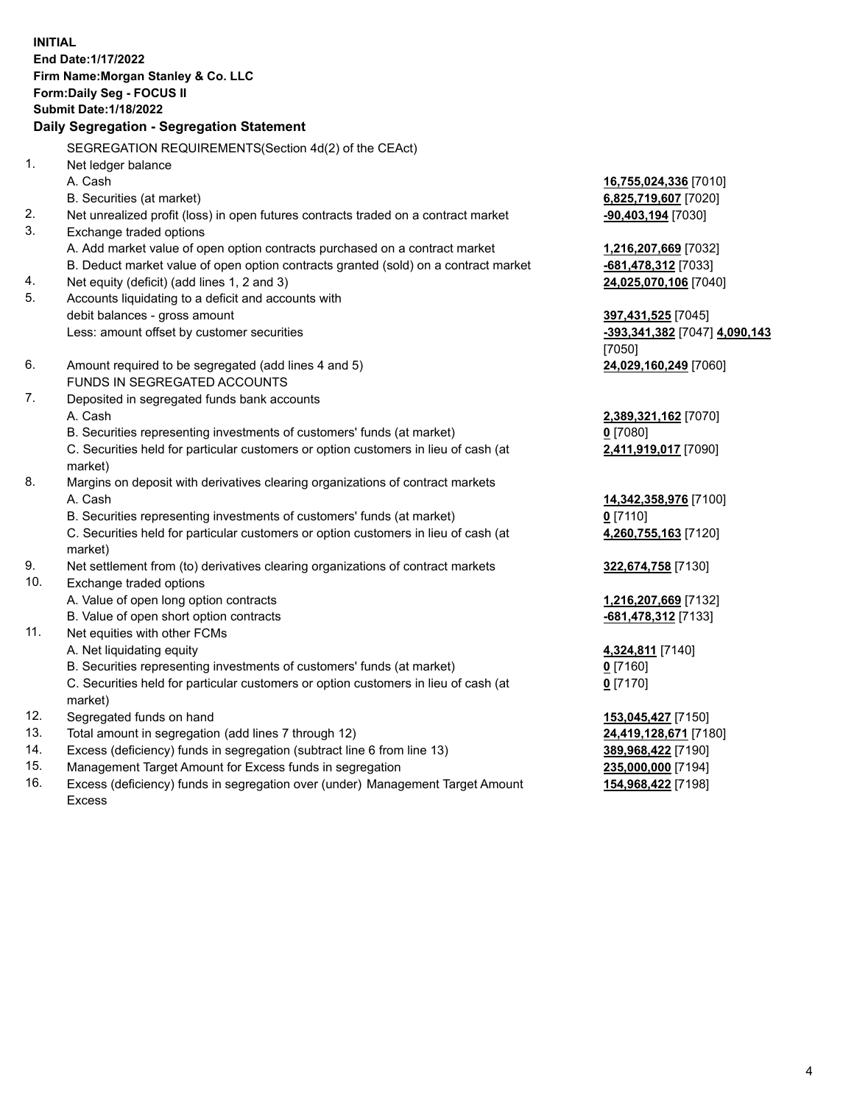**INITIAL End Date:1/17/2022 Firm Name:Morgan Stanley & Co. LLC Form:Daily Seg - FOCUS II Submit Date:1/18/2022 Daily Segregation - Segregation Statement** SEGREGATION REQUIREMENTS(Section 4d(2) of the CEAct) 1. Net ledger balance A. Cash **16,755,024,336** [7010] B. Securities (at market) **6,825,719,607** [7020] 2. Net unrealized profit (loss) in open futures contracts traded on a contract market **-90,403,194** [7030] 3. Exchange traded options A. Add market value of open option contracts purchased on a contract market **1,216,207,669** [7032] B. Deduct market value of open option contracts granted (sold) on a contract market **-681,478,312** [7033] 4. Net equity (deficit) (add lines 1, 2 and 3) **24,025,070,106** [7040] 5. Accounts liquidating to a deficit and accounts with debit balances - gross amount **397,431,525** [7045] Less: amount offset by customer securities **-393,341,382** [7047] **4,090,143** [7050] 6. Amount required to be segregated (add lines 4 and 5) **24,029,160,249** [7060] FUNDS IN SEGREGATED ACCOUNTS 7. Deposited in segregated funds bank accounts A. Cash **2,389,321,162** [7070] B. Securities representing investments of customers' funds (at market) **0** [7080] C. Securities held for particular customers or option customers in lieu of cash (at market) **2,411,919,017** [7090] 8. Margins on deposit with derivatives clearing organizations of contract markets A. Cash **14,342,358,976** [7100] B. Securities representing investments of customers' funds (at market) **0** [7110] C. Securities held for particular customers or option customers in lieu of cash (at market) **4,260,755,163** [7120] 9. Net settlement from (to) derivatives clearing organizations of contract markets **322,674,758** [7130] 10. Exchange traded options A. Value of open long option contracts **1,216,207,669** [7132] B. Value of open short option contracts **-681,478,312** [7133] 11. Net equities with other FCMs A. Net liquidating equity **4,324,811** [7140] B. Securities representing investments of customers' funds (at market) **0** [7160] C. Securities held for particular customers or option customers in lieu of cash (at market) **0** [7170] 12. Segregated funds on hand **153,045,427** [7150] 13. Total amount in segregation (add lines 7 through 12) **24,419,128,671** [7180] 14. Excess (deficiency) funds in segregation (subtract line 6 from line 13) **389,968,422** [7190] 15. Management Target Amount for Excess funds in segregation **235,000,000** [7194]

- 16. Excess (deficiency) funds in segregation over (under) Management Target Amount
	- Excess

**154,968,422** [7198]